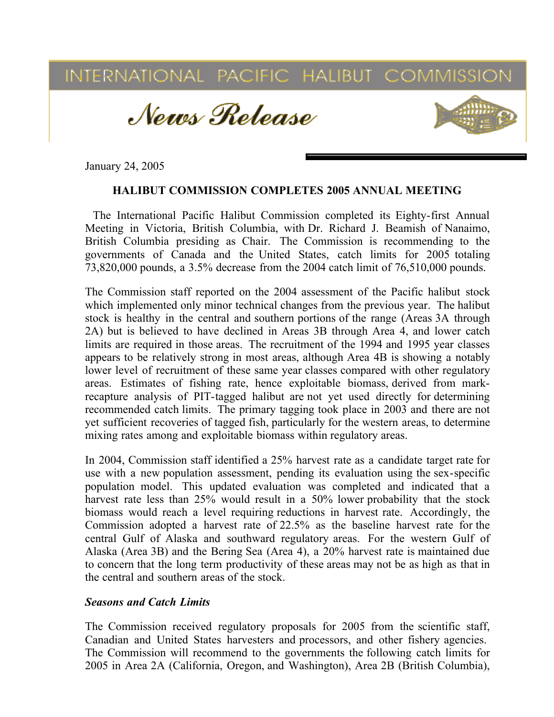

January 24, 2005

## HALIBUT COMMISSION COMPLETES 2005 ANNUAL MEETING

The International Pacific Halibut Commission completed its Eighty-first Annual Meeting in Victoria, British Columbia, with Dr. Richard J. Beamish of Nanaimo, British Columbia presiding as Chair. The Commission is recommending to the governments of Canada and the United States, catch limits for 2005 totaling 73,820,000 pounds, a 3.5% decrease from the 2004 catch limit of 76,510,000 pounds.

The Commission staff reported on the 2004 assessment of the Pacific halibut stock which implemented only minor technical changes from the previous year. The halibut stock is healthy in the central and southern portions of the range (Areas 3A through 2A) but is believed to have declined in Areas 3B through Area 4, and lower catch limits are required in those areas. The recruitment of the 1994 and 1995 year classes appears to be relatively strong in most areas, although Area 4B is showing a notably lower level of recruitment of these same year classes compared with other regulatory areas. Estimates of fishing rate, hence exploitable biomass, derived from markrecapture analysis of PIT-tagged halibut are not yet used directly for determining recommended catch limits. The primary tagging took place in 2003 and there are not yet sufficient recoveries of tagged fish, particularly for the western areas, to determine mixing rates among and exploitable biomass within regulatory areas.

In 2004, Commission staff identified a 25% harvest rate as a candidate target rate for use with a new population assessment, pending its evaluation using the sex-specific population model. This updated evaluation was completed and indicated that a harvest rate less than 25% would result in a 50% lower probability that the stock biomass would reach a level requiring reductions in harvest rate. Accordingly, the Commission adopted a harvest rate of 22.5% as the baseline harvest rate for the central Gulf of Alaska and southward regulatory areas. For the western Gulf of Alaska (Area 3B) and the Bering Sea (Area 4), a 20% harvest rate is maintained due to concern that the long term productivity of these areas may not be as high as that in the central and southern areas of the stock.

## *Seasons and Catch Limits*

The Commission received regulatory proposals for 2005 from the scientific staff, Canadian and United States harvesters and processors, and other fishery agencies. The Commission will recommend to the governments the following catch limits for 2005 in Area 2A (California, Oregon, and Washington), Area 2B (British Columbia),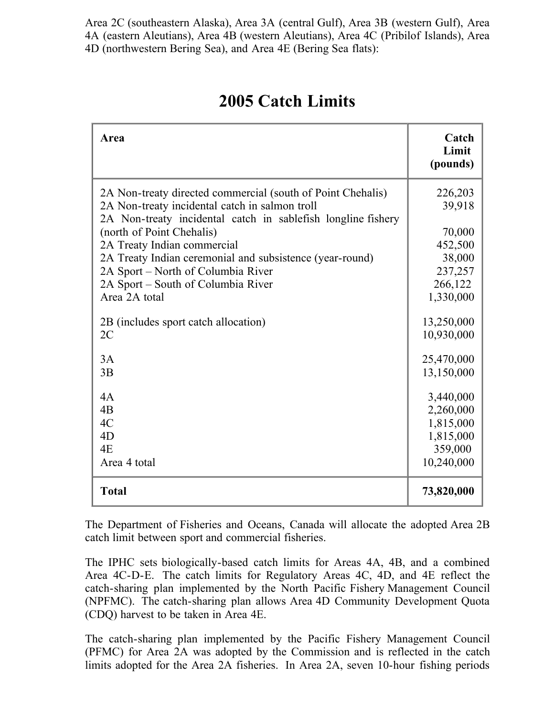Area 2C (southeastern Alaska), Area 3A (central Gulf), Area 3B (western Gulf), Area 4A (eastern Aleutians), Area 4B (western Aleutians), Area 4C (Pribilof Islands), Area 4D (northwestern Bering Sea), and Area 4E (Bering Sea flats):

| Area                                                                                                                                                                                                                                                                                                                                                                                               | Catch<br>Limit<br>(pounds)                                                          |
|----------------------------------------------------------------------------------------------------------------------------------------------------------------------------------------------------------------------------------------------------------------------------------------------------------------------------------------------------------------------------------------------------|-------------------------------------------------------------------------------------|
| 2A Non-treaty directed commercial (south of Point Chehalis)<br>2A Non-treaty incidental catch in salmon troll<br>2A Non-treaty incidental catch in sablefish longline fishery<br>(north of Point Chehalis)<br>2A Treaty Indian commercial<br>2A Treaty Indian ceremonial and subsistence (year-round)<br>2A Sport – North of Columbia River<br>2A Sport – South of Columbia River<br>Area 2A total | 226,203<br>39,918<br>70,000<br>452,500<br>38,000<br>237,257<br>266,122<br>1,330,000 |
| 2B (includes sport catch allocation)                                                                                                                                                                                                                                                                                                                                                               | 13,250,000                                                                          |
| 2C                                                                                                                                                                                                                                                                                                                                                                                                 | 10,930,000                                                                          |
| 3A                                                                                                                                                                                                                                                                                                                                                                                                 | 25,470,000                                                                          |
| 3B                                                                                                                                                                                                                                                                                                                                                                                                 | 13,150,000                                                                          |
| 4A                                                                                                                                                                                                                                                                                                                                                                                                 | 3,440,000                                                                           |
| 4B                                                                                                                                                                                                                                                                                                                                                                                                 | 2,260,000                                                                           |
| 4C                                                                                                                                                                                                                                                                                                                                                                                                 | 1,815,000                                                                           |
| 4D                                                                                                                                                                                                                                                                                                                                                                                                 | 1,815,000                                                                           |
| 4E                                                                                                                                                                                                                                                                                                                                                                                                 | 359,000                                                                             |
| Area 4 total                                                                                                                                                                                                                                                                                                                                                                                       | 10,240,000                                                                          |
| <b>Total</b>                                                                                                                                                                                                                                                                                                                                                                                       | 73,820,000                                                                          |

# 2005 Catch Limits

The Department of Fisheries and Oceans, Canada will allocate the adopted Area 2B catch limit between sport and commercial fisheries.

The IPHC sets biologically-based catch limits for Areas 4A, 4B, and a combined Area 4C-D-E. The catch limits for Regulatory Areas 4C, 4D, and 4E reflect the catch-sharing plan implemented by the North Pacific Fishery Management Council (NPFMC). The catch-sharing plan allows Area 4D Community Development Quota (CDQ) harvest to be taken in Area 4E.

The catch-sharing plan implemented by the Pacific Fishery Management Council (PFMC) for Area 2A was adopted by the Commission and is reflected in the catch limits adopted for the Area 2A fisheries. In Area 2A, seven 10-hour fishing periods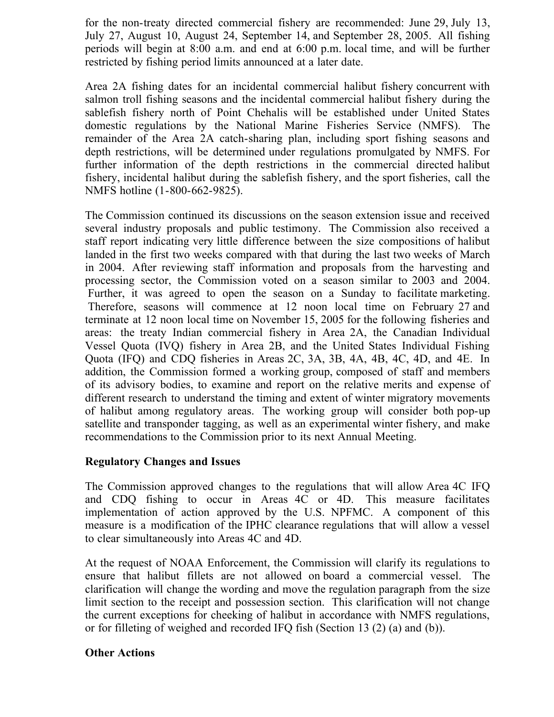for the non-treaty directed commercial fishery are recommended: June 29, July 13, July 27, August 10, August 24, September 14, and September 28, 2005. All fishing periods will begin at 8:00 a.m. and end at 6:00 p.m. local time, and will be further restricted by fishing period limits announced at a later date.

Area 2A fishing dates for an incidental commercial halibut fishery concurrent with salmon troll fishing seasons and the incidental commercial halibut fishery during the sablefish fishery north of Point Chehalis will be established under United States domestic regulations by the National Marine Fisheries Service (NMFS). The remainder of the Area 2A catch-sharing plan, including sport fishing seasons and depth restrictions, will be determined under regulations promulgated by NMFS. For further information of the depth restrictions in the commercial directed halibut fishery, incidental halibut during the sablefish fishery, and the sport fisheries, call the NMFS hotline (1-800-662-9825).

The Commission continued its discussions on the season extension issue and received several industry proposals and public testimony. The Commission also received a staff report indicating very little difference between the size compositions of halibut landed in the first two weeks compared with that during the last two weeks of March in 2004. After reviewing staff information and proposals from the harvesting and processing sector, the Commission voted on a season similar to 2003 and 2004. Further, it was agreed to open the season on a Sunday to facilitate marketing. Therefore, seasons will commence at 12 noon local time on February 27 and terminate at 12 noon local time on November 15, 2005 for the following fisheries and areas: the treaty Indian commercial fishery in Area 2A, the Canadian Individual Vessel Quota (IVQ) fishery in Area 2B, and the United States Individual Fishing Quota (IFQ) and CDQ fisheries in Areas 2C, 3A, 3B, 4A, 4B, 4C, 4D, and 4E. In addition, the Commission formed a working group, composed of staff and members of its advisory bodies, to examine and report on the relative merits and expense of different research to understand the timing and extent of winter migratory movements of halibut among regulatory areas. The working group will consider both pop-up satellite and transponder tagging, as well as an experimental winter fishery, and make recommendations to the Commission prior to its next Annual Meeting.

## Regulatory Changes and Issues

The Commission approved changes to the regulations that will allow Area 4C IFQ and CDQ fishing to occur in Areas 4C or 4D. This measure facilitates implementation of action approved by the U.S. NPFMC. A component of this measure is a modification of the IPHC clearance regulations that will allow a vessel to clear simultaneously into Areas 4C and 4D.

At the request of NOAA Enforcement, the Commission will clarify its regulations to ensure that halibut fillets are not allowed on board a commercial vessel. The clarification will change the wording and move the regulation paragraph from the size limit section to the receipt and possession section. This clarification will not change the current exceptions for cheeking of halibut in accordance with NMFS regulations, or for filleting of weighed and recorded IFQ fish (Section 13 (2) (a) and (b)).

## Other Actions